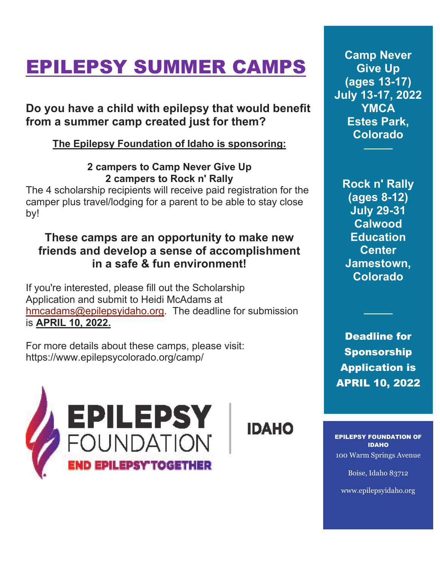# EPILEPSY SUMMER CAMPS

# **Do you have a child with epilepsy that would benefit from a summer camp created just for them?**

### **The Epilepsy Foundation of Idaho is sponsoring:**

### **2 campers to Camp Never Give Up 2 campers to Rock n' Rally**

The 4 scholarship recipients will receive paid registration for the camper plus travel/lodging for a parent to be able to stay close by!

## **These camps are an opportunity to make new friends and develop a sense of accomplishment in a safe & fun environment!**

If you're interested, please fill out the Scholarship Application and submit to Heidi McAdams at [hmcadams@epilepsyidaho.org.](mailto:hmcadams@epilepsyidaho.org) The deadline for submission is **APRIL 10, 2022.**

For more details about these camps, please visit: https://www.epilepsycolorado.org/camp/



**IDAHO** 

**Camp Never Give Up (ages 13-17) July 13-17, 2022 YMCA Estes Park, Colorado**

────

**Rock n' Rally (ages 8-12) July 29-31 Calwood Education Center Jamestown, Colorado**

Deadline for Sponsorship Application is APRIL 10, 2022

────

EPILEPSY FOUNDATION OF IDAHO 100 Warm Springs Avenue

Boise, Idaho 83712

www.epilepsyidaho.org